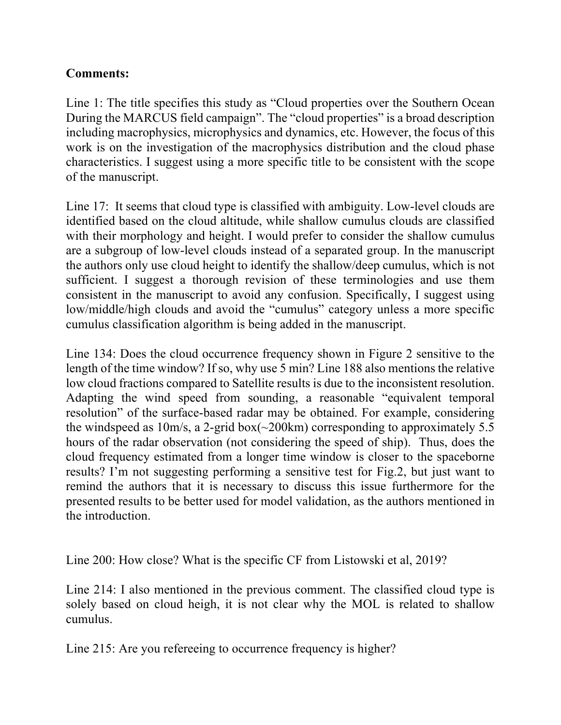## **Comments:**

Line 1: The title specifies this study as "Cloud properties over the Southern Ocean During the MARCUS field campaign". The "cloud properties" is a broad description including macrophysics, microphysics and dynamics, etc. However, the focus of this work is on the investigation of the macrophysics distribution and the cloud phase characteristics. I suggest using a more specific title to be consistent with the scope of the manuscript.

Line 17: It seems that cloud type is classified with ambiguity. Low-level clouds are identified based on the cloud altitude, while shallow cumulus clouds are classified with their morphology and height. I would prefer to consider the shallow cumulus are a subgroup of low-level clouds instead of a separated group. In the manuscript the authors only use cloud height to identify the shallow/deep cumulus, which is not sufficient. I suggest a thorough revision of these terminologies and use them consistent in the manuscript to avoid any confusion. Specifically, I suggest using low/middle/high clouds and avoid the "cumulus" category unless a more specific cumulus classification algorithm is being added in the manuscript.

Line 134: Does the cloud occurrence frequency shown in Figure 2 sensitive to the length of the time window? If so, why use 5 min? Line 188 also mentions the relative low cloud fractions compared to Satellite results is due to the inconsistent resolution. Adapting the wind speed from sounding, a reasonable "equivalent temporal resolution" of the surface-based radar may be obtained. For example, considering the windspeed as  $10m/s$ , a 2-grid box( $\sim$ 200km) corresponding to approximately 5.5 hours of the radar observation (not considering the speed of ship). Thus, does the cloud frequency estimated from a longer time window is closer to the spaceborne results? I'm not suggesting performing a sensitive test for Fig.2, but just want to remind the authors that it is necessary to discuss this issue furthermore for the presented results to be better used for model validation, as the authors mentioned in the introduction.

Line 200: How close? What is the specific CF from Listowski et al, 2019?

Line 214: I also mentioned in the previous comment. The classified cloud type is solely based on cloud heigh, it is not clear why the MOL is related to shallow cumulus.

Line 215: Are you refereeing to occurrence frequency is higher?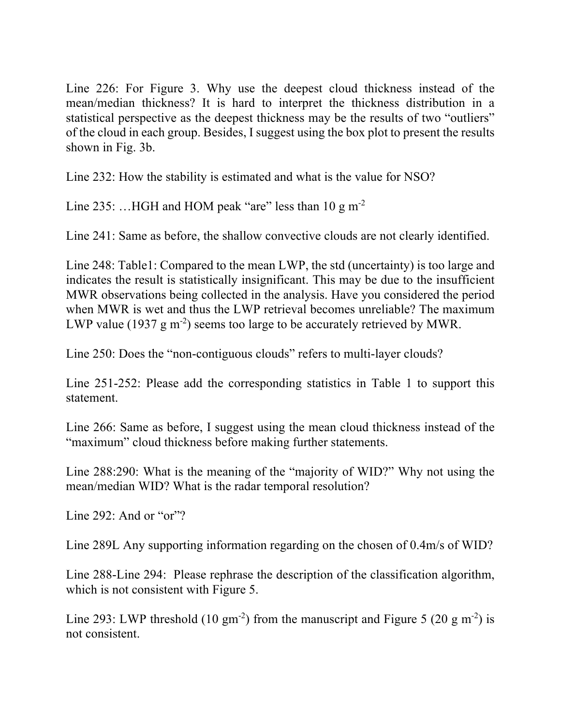Line 226: For Figure 3. Why use the deepest cloud thickness instead of the mean/median thickness? It is hard to interpret the thickness distribution in a statistical perspective as the deepest thickness may be the results of two "outliers" of the cloud in each group. Besides, I suggest using the box plot to present the results shown in Fig. 3b.

Line 232: How the stability is estimated and what is the value for NSO?

Line 235: ...HGH and HOM peak "are" less than  $10 \text{ g m}^{-2}$ 

Line 241: Same as before, the shallow convective clouds are not clearly identified.

Line 248: Table1: Compared to the mean LWP, the std (uncertainty) is too large and indicates the result is statistically insignificant. This may be due to the insufficient MWR observations being collected in the analysis. Have you considered the period when MWR is wet and thus the LWP retrieval becomes unreliable? The maximum LWP value (1937  $g$  m<sup>-2</sup>) seems too large to be accurately retrieved by MWR.

Line 250: Does the "non-contiguous clouds" refers to multi-layer clouds?

Line 251-252: Please add the corresponding statistics in Table 1 to support this statement.

Line 266: Same as before, I suggest using the mean cloud thickness instead of the "maximum" cloud thickness before making further statements.

Line 288:290: What is the meaning of the "majority of WID?" Why not using the mean/median WID? What is the radar temporal resolution?

Line 292: And or " $or$ "?

Line 289L Any supporting information regarding on the chosen of 0.4m/s of WID?

Line 288-Line 294: Please rephrase the description of the classification algorithm, which is not consistent with Figure 5.

Line 293: LWP threshold (10 gm<sup>-2</sup>) from the manuscript and Figure 5 (20 g m<sup>-2</sup>) is not consistent.